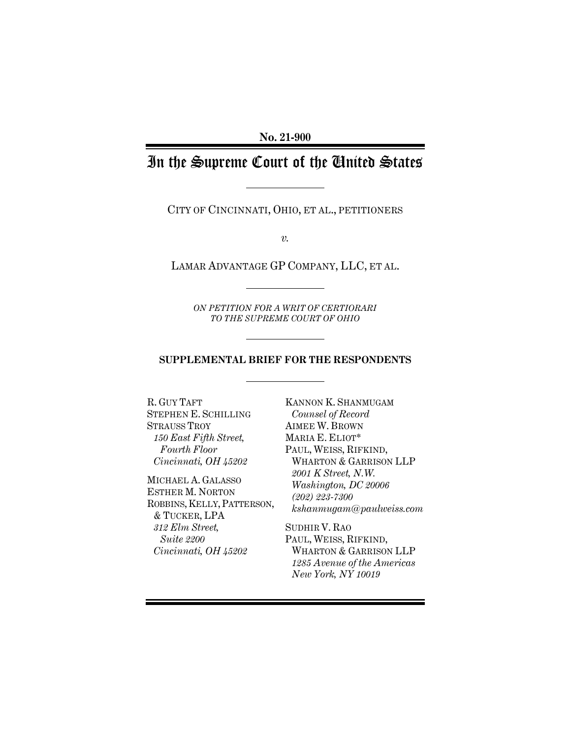**No. 21-900**

## In the Supreme Court of the United States

CITY OF CINCINNATI, OHIO, ET AL., PETITIONERS

*v.*

LAMAR ADVANTAGE GP COMPANY, LLC, ET AL.

*ON PETITION FOR A WRIT OF CERTIORARI TO THE SUPREME COURT OF OHIO*

## **SUPPLEMENTAL BRIEF FOR THE RESPONDENTS**

R. GUY TAFT STEPHEN E. SCHILLING STRAUSS TROY *150 East Fifth Street, Fourth Floor Cincinnati, OH 45202*

MICHAEL A. GALASSO ESTHER M. NORTON ROBBINS, KELLY,PATTERSON, & TUCKER, LPA *312 Elm Street, Suite 2200 Cincinnati, OH 45202*

KANNON K. SHANMUGAM *Counsel of Record* AIMEE W. BROWN MARIA E. ELIOT\* PAUL, WEISS, RIFKIND, WHARTON & GARRISON LLP *2001 K Street, N.W. Washington, DC 20006 (202) 223-7300 kshanmugam@paulweiss.com*

SUDHIR V. RAO PAUL, WEISS, RIFKIND, WHARTON & GARRISON LLP *1285 Avenue of the Americas New York, NY 10019*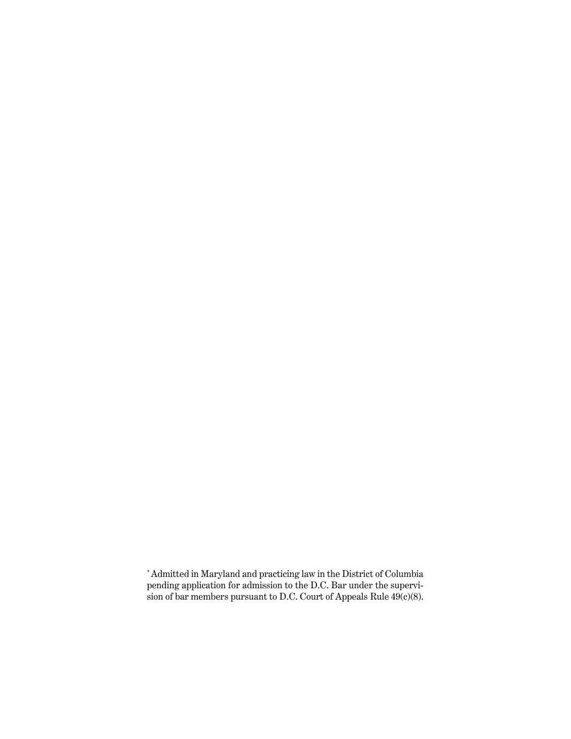<sup>\*</sup>Admitted in Maryland and practicing law in the District of Columbia pending application for admission to the D.C. Bar under the supervision of bar members pursuant to D.C. Court of Appeals Rule 49(c)(8).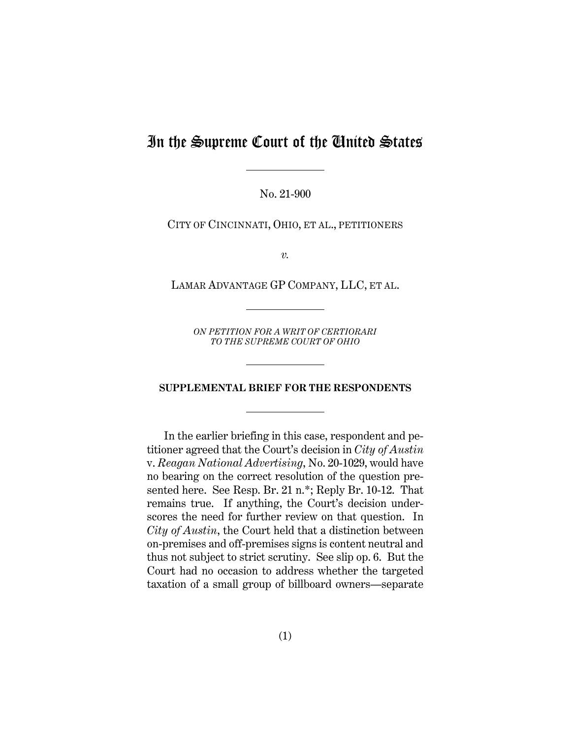## In the Supreme Court of the United States

No. 21-900

CITY OF CINCINNATI, OHIO, ET AL., PETITIONERS

*v.*

LAMAR ADVANTAGE GP COMPANY, LLC, ET AL.

*ON PETITION FOR A WRIT OF CERTIORARI TO THE SUPREME COURT OF OHIO*

## **SUPPLEMENTAL BRIEF FOR THE RESPONDENTS**

In the earlier briefing in this case, respondent and petitioner agreed that the Court's decision in *City of Austin*  v. *Reagan National Advertising*, No. 20-1029, would have no bearing on the correct resolution of the question presented here. See Resp. Br. 21 n.\*; Reply Br. 10-12. That remains true. If anything, the Court's decision underscores the need for further review on that question. In *City of Austin*, the Court held that a distinction between on-premises and off-premises signs is content neutral and thus not subject to strict scrutiny. See slip op. 6. But the Court had no occasion to address whether the targeted taxation of a small group of billboard owners—separate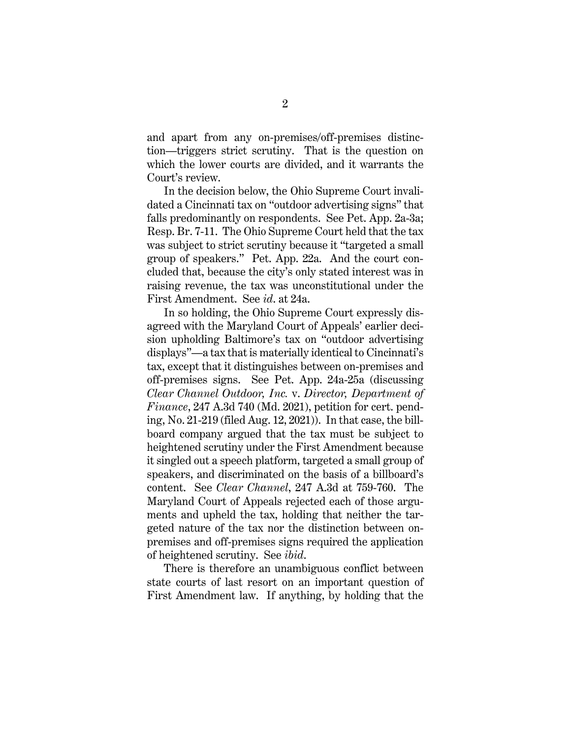and apart from any on-premises/off-premises distinction—triggers strict scrutiny. That is the question on which the lower courts are divided, and it warrants the Court's review.

In the decision below, the Ohio Supreme Court invalidated a Cincinnati tax on "outdoor advertising signs" that falls predominantly on respondents. See Pet. App. 2a-3a; Resp. Br. 7-11. The Ohio Supreme Court held that the tax was subject to strict scrutiny because it "targeted a small group of speakers." Pet. App. 22a. And the court concluded that, because the city's only stated interest was in raising revenue, the tax was unconstitutional under the First Amendment. See *id*. at 24a.

In so holding, the Ohio Supreme Court expressly disagreed with the Maryland Court of Appeals' earlier decision upholding Baltimore's tax on "outdoor advertising displays"—a tax that is materially identical to Cincinnati's tax, except that it distinguishes between on-premises and off-premises signs. See Pet. App. 24a-25a (discussing *Clear Channel Outdoor, Inc.* v. *Director, Department of Finance*, 247 A.3d 740 (Md. 2021), petition for cert. pending, No. 21-219 (filed Aug. 12, 2021)). In that case, the billboard company argued that the tax must be subject to heightened scrutiny under the First Amendment because it singled out a speech platform, targeted a small group of speakers, and discriminated on the basis of a billboard's content. See *Clear Channel*, 247 A.3d at 759-760. The Maryland Court of Appeals rejected each of those arguments and upheld the tax, holding that neither the targeted nature of the tax nor the distinction between onpremises and off-premises signs required the application of heightened scrutiny. See *ibid*.

There is therefore an unambiguous conflict between state courts of last resort on an important question of First Amendment law. If anything, by holding that the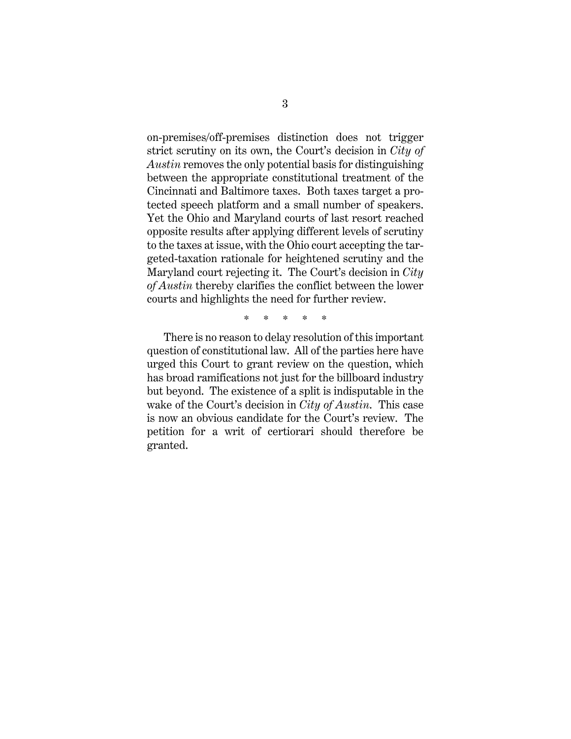on-premises/off-premises distinction does not trigger strict scrutiny on its own, the Court's decision in *City of Austin* removes the only potential basis for distinguishing between the appropriate constitutional treatment of the Cincinnati and Baltimore taxes. Both taxes target a protected speech platform and a small number of speakers. Yet the Ohio and Maryland courts of last resort reached opposite results after applying different levels of scrutiny to the taxes at issue, with the Ohio court accepting the targeted-taxation rationale for heightened scrutiny and the Maryland court rejecting it. The Court's decision in *City of Austin* thereby clarifies the conflict between the lower courts and highlights the need for further review.

\* \* \* \* \*

There is no reason to delay resolution of this important question of constitutional law. All of the parties here have urged this Court to grant review on the question, which has broad ramifications not just for the billboard industry but beyond. The existence of a split is indisputable in the wake of the Court's decision in *City of Austin*. This case is now an obvious candidate for the Court's review. The petition for a writ of certiorari should therefore be granted.